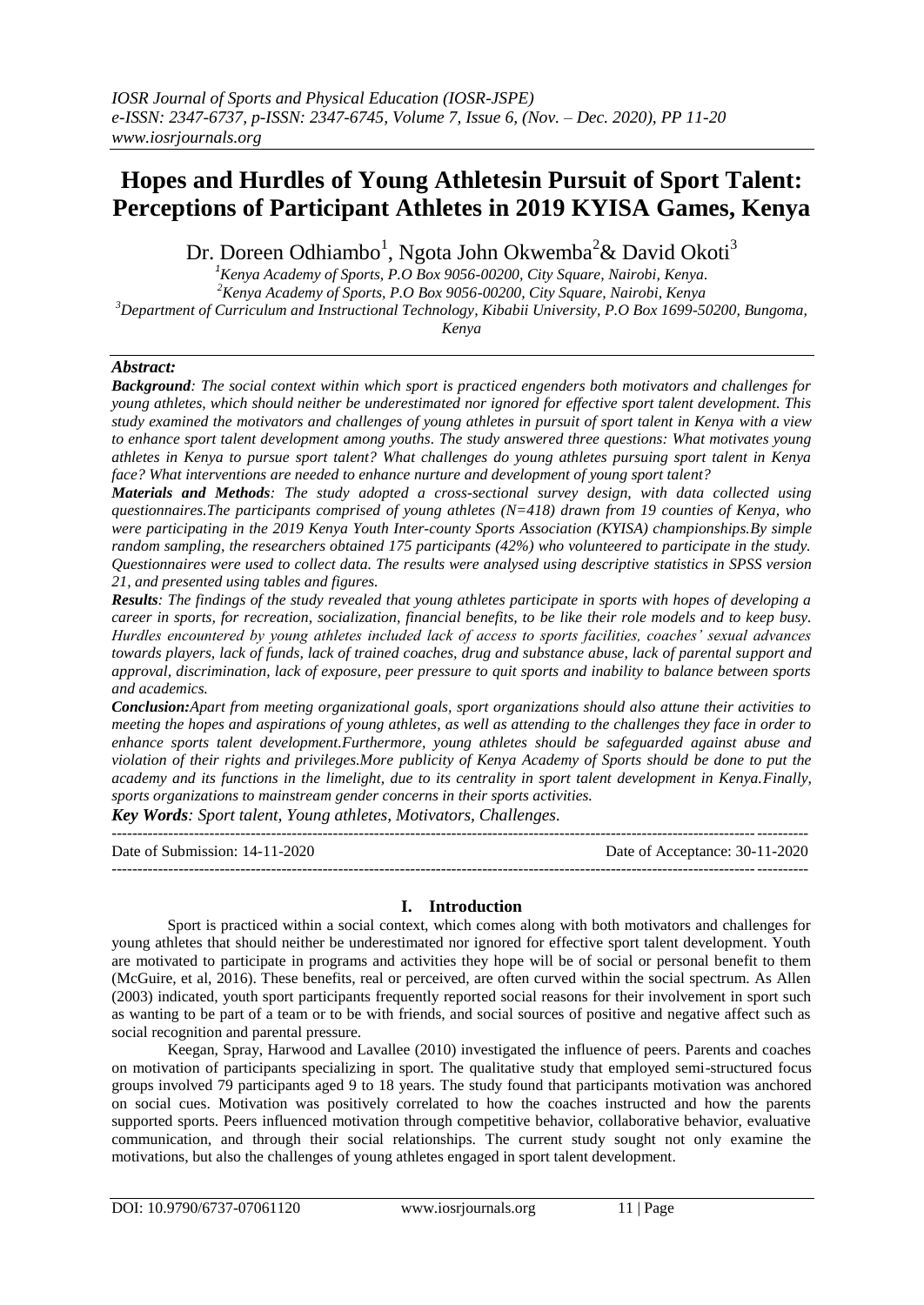# **Hopes and Hurdles of Young Athletesin Pursuit of Sport Talent: Perceptions of Participant Athletes in 2019 KYISA Games, Kenya**

Dr. Doreen Odhiambo<sup>1</sup>, Ngota John Okwemba<sup>2</sup>& David Okoti<sup>3</sup>

 *Kenya Academy of Sports, P.O Box 9056-00200, City Square, Nairobi, Kenya. Kenya Academy of Sports, P.O Box 9056-00200, City Square, Nairobi, Kenya Department of Curriculum and Instructional Technology, Kibabii University, P.O Box 1699-50200, Bungoma, Kenya*

#### *Abstract:*

*Background: The social context within which sport is practiced engenders both motivators and challenges for young athletes, which should neither be underestimated nor ignored for effective sport talent development. This study examined the motivators and challenges of young athletes in pursuit of sport talent in Kenya with a view to enhance sport talent development among youths. The study answered three questions: What motivates young athletes in Kenya to pursue sport talent? What challenges do young athletes pursuing sport talent in Kenya face? What interventions are needed to enhance nurture and development of young sport talent?* 

*Materials and Methods: The study adopted a cross-sectional survey design, with data collected using questionnaires.The participants comprised of young athletes (N=418) drawn from 19 counties of Kenya, who were participating in the 2019 Kenya Youth Inter-county Sports Association (KYISA) championships.By simple random sampling, the researchers obtained 175 participants (42%) who volunteered to participate in the study. Questionnaires were used to collect data. The results were analysed using descriptive statistics in SPSS version 21, and presented using tables and figures.*

*Results: The findings of the study revealed that young athletes participate in sports with hopes of developing a career in sports, for recreation, socialization, financial benefits, to be like their role models and to keep busy. Hurdles encountered by young athletes included lack of access to sports facilities, coaches' sexual advances towards players, lack of funds, lack of trained coaches, drug and substance abuse, lack of parental support and approval, discrimination, lack of exposure, peer pressure to quit sports and inability to balance between sports and academics.* 

*Conclusion:Apart from meeting organizational goals, sport organizations should also attune their activities to meeting the hopes and aspirations of young athletes, as well as attending to the challenges they face in order to enhance sports talent development.Furthermore, young athletes should be safeguarded against abuse and violation of their rights and privileges.More publicity of Kenya Academy of Sports should be done to put the academy and its functions in the limelight, due to its centrality in sport talent development in Kenya.Finally, sports organizations to mainstream gender concerns in their sports activities.*

*Key Words: Sport talent, Young athletes, Motivators, Challenges.*

--------------------------------------------------------------------------------------------------------------------------------------- Date of Submission: 14-11-2020 Date of Acceptance: 30-11-2020  $-1.1$ 

## **I. Introduction**

Sport is practiced within a social context, which comes along with both motivators and challenges for young athletes that should neither be underestimated nor ignored for effective sport talent development. Youth are motivated to participate in programs and activities they hope will be of social or personal benefit to them (McGuire, et al, 2016). These benefits, real or perceived, are often curved within the social spectrum. As Allen (2003) indicated, youth sport participants frequently reported social reasons for their involvement in sport such as wanting to be part of a team or to be with friends, and social sources of positive and negative affect such as social recognition and parental pressure.

Keegan, Spray, Harwood and Lavallee (2010) investigated the influence of peers. Parents and coaches on motivation of participants specializing in sport. The qualitative study that employed semi-structured focus groups involved 79 participants aged 9 to 18 years. The study found that participants motivation was anchored on social cues. Motivation was positively correlated to how the coaches instructed and how the parents supported sports. Peers influenced motivation through competitive behavior, collaborative behavior, evaluative communication, and through their social relationships. The current study sought not only examine the motivations, but also the challenges of young athletes engaged in sport talent development.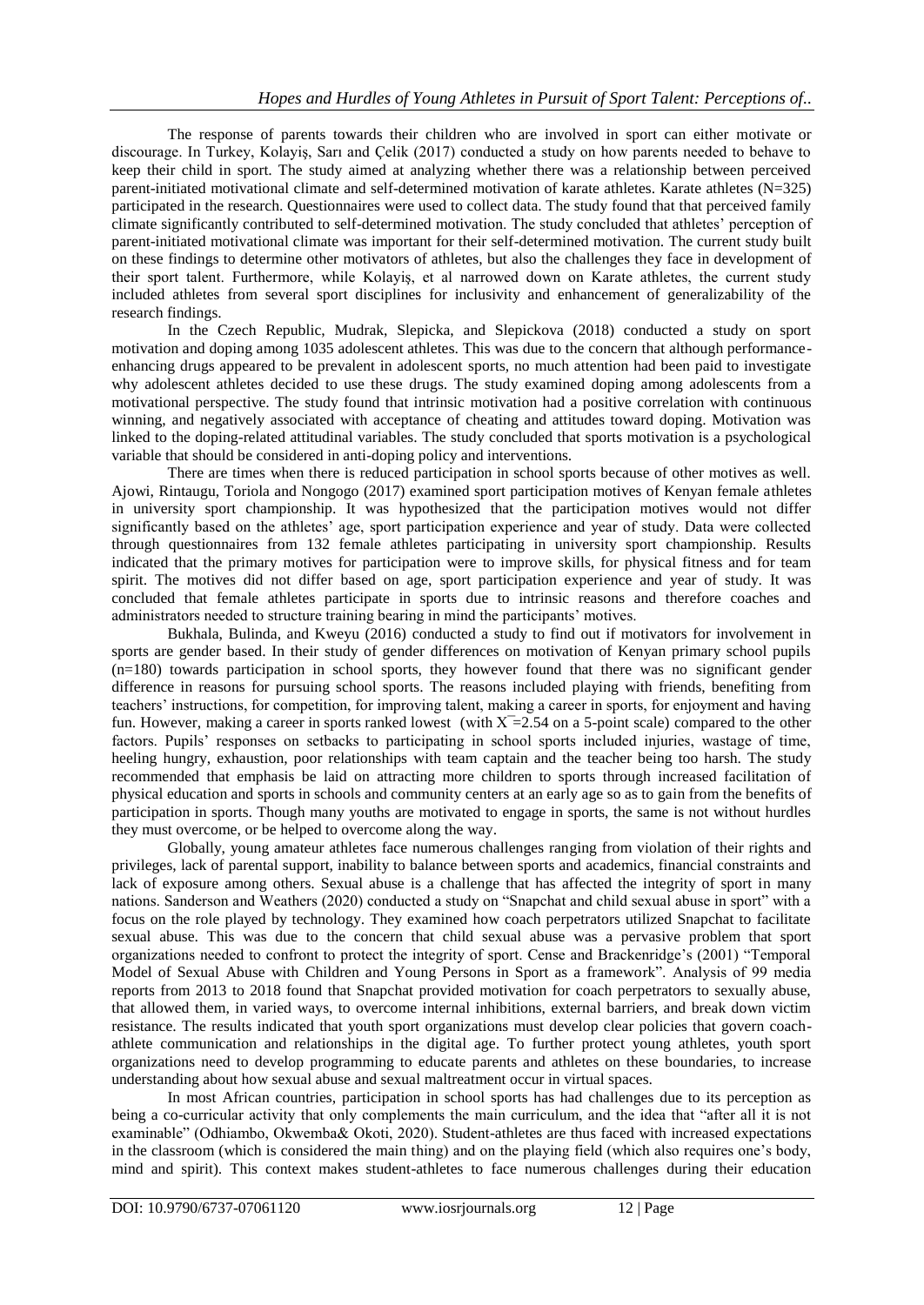The response of parents towards their children who are involved in sport can either motivate or discourage. In Turkey, Kolayiş, Sarı and Çelik (2017) conducted a study on how parents needed to behave to keep their child in sport. The study aimed at analyzing whether there was a relationship between perceived parent-initiated motivational climate and self-determined motivation of karate athletes. Karate athletes (N=325) participated in the research. Questionnaires were used to collect data. The study found that that perceived family climate significantly contributed to self-determined motivation. The study concluded that athletes" perception of parent-initiated motivational climate was important for their self-determined motivation. The current study built on these findings to determine other motivators of athletes, but also the challenges they face in development of their sport talent. Furthermore, while Kolayiş, et al narrowed down on Karate athletes, the current study included athletes from several sport disciplines for inclusivity and enhancement of generalizability of the research findings.

In the Czech Republic, Mudrak, Slepicka, and Slepickova (2018) conducted a study on sport motivation and doping among 1035 adolescent athletes. This was due to the concern that although performanceenhancing drugs appeared to be prevalent in adolescent sports, no much attention had been paid to investigate why adolescent athletes decided to use these drugs. The study examined doping among adolescents from a motivational perspective. The study found that intrinsic motivation had a positive correlation with continuous winning, and negatively associated with acceptance of cheating and attitudes toward doping. Motivation was linked to the doping-related attitudinal variables. The study concluded that sports motivation is a psychological variable that should be considered in anti-doping policy and interventions.

There are times when there is reduced participation in school sports because of other motives as well. Ajowi, Rintaugu, Toriola and Nongogo (2017) examined sport participation motives of Kenyan female athletes in university sport championship. It was hypothesized that the participation motives would not differ significantly based on the athletes" age, sport participation experience and year of study. Data were collected through questionnaires from 132 female athletes participating in university sport championship. Results indicated that the primary motives for participation were to improve skills, for physical fitness and for team spirit. The motives did not differ based on age, sport participation experience and year of study. It was concluded that female athletes participate in sports due to intrinsic reasons and therefore coaches and administrators needed to structure training bearing in mind the participants' motives.

Bukhala, Bulinda, and Kweyu (2016) conducted a study to find out if motivators for involvement in sports are gender based. In their study of gender differences on motivation of Kenyan primary school pupils  $(n=180)$  towards participation in school sports, they however found that there was no significant gender difference in reasons for pursuing school sports. The reasons included playing with friends, benefiting from teachers" instructions, for competition, for improving talent, making a career in sports, for enjoyment and having fun. However, making a career in sports ranked lowest (with  $X=2.54$  on a 5-point scale) compared to the other factors. Pupils' responses on setbacks to participating in school sports included injuries, wastage of time, heeling hungry, exhaustion, poor relationships with team captain and the teacher being too harsh. The study recommended that emphasis be laid on attracting more children to sports through increased facilitation of physical education and sports in schools and community centers at an early age so as to gain from the benefits of participation in sports. Though many youths are motivated to engage in sports, the same is not without hurdles they must overcome, or be helped to overcome along the way.

Globally, young amateur athletes face numerous challenges ranging from violation of their rights and privileges, lack of parental support, inability to balance between sports and academics, financial constraints and lack of exposure among others. Sexual abuse is a challenge that has affected the integrity of sport in many nations. Sanderson and Weathers (2020) conducted a study on "Snapchat and child sexual abuse in sport" with a focus on the role played by technology. They examined how coach perpetrators utilized Snapchat to facilitate sexual abuse. This was due to the concern that child sexual abuse was a pervasive problem that sport organizations needed to confront to protect the integrity of sport. Cense and Brackenridge"s (2001) "Temporal Model of Sexual Abuse with Children and Young Persons in Sport as a framework". Analysis of 99 media reports from 2013 to 2018 found that Snapchat provided motivation for coach perpetrators to sexually abuse, that allowed them, in varied ways, to overcome internal inhibitions, external barriers, and break down victim resistance. The results indicated that youth sport organizations must develop clear policies that govern coachathlete communication and relationships in the digital age. To further protect young athletes, youth sport organizations need to develop programming to educate parents and athletes on these boundaries, to increase understanding about how sexual abuse and sexual maltreatment occur in virtual spaces.

In most African countries, participation in school sports has had challenges due to its perception as being a co-curricular activity that only complements the main curriculum, and the idea that "after all it is not examinable" (Odhiambo, Okwemba& Okoti, 2020). Student-athletes are thus faced with increased expectations in the classroom (which is considered the main thing) and on the playing field (which also requires one's body, mind and spirit). This context makes student-athletes to face numerous challenges during their education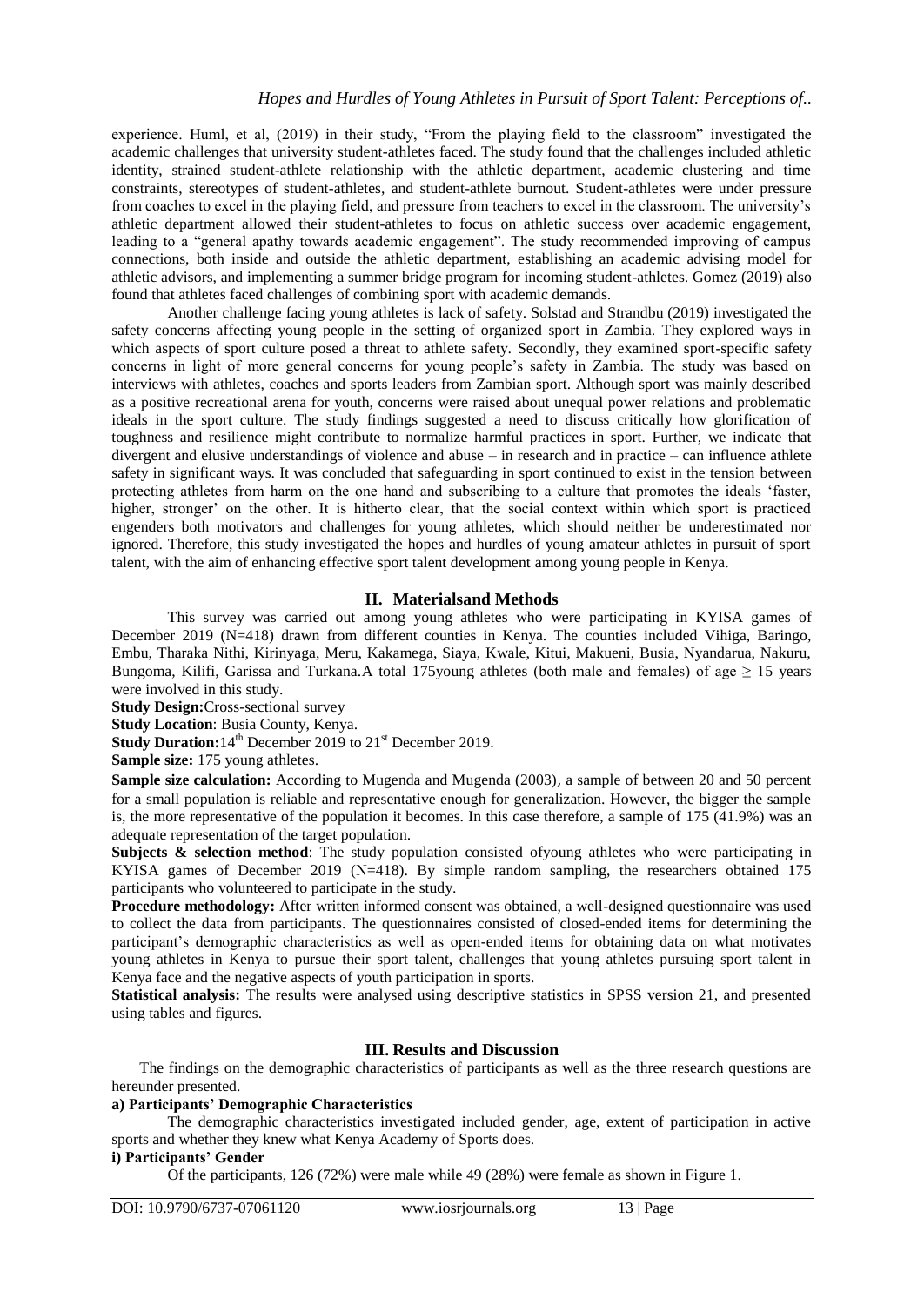experience. Huml, et al, (2019) in their study, "From the playing field to the classroom" investigated the academic challenges that university student-athletes faced. The study found that the challenges included athletic identity, strained student-athlete relationship with the athletic department, academic clustering and time constraints, stereotypes of student-athletes, and student-athlete burnout. Student-athletes were under pressure from coaches to excel in the playing field, and pressure from teachers to excel in the classroom. The university"s athletic department allowed their student-athletes to focus on athletic success over academic engagement, leading to a "general apathy towards academic engagement". The study recommended improving of campus connections, both inside and outside the athletic department, establishing an academic advising model for athletic advisors, and implementing a summer bridge program for incoming student-athletes. Gomez (2019) also found that athletes faced challenges of combining sport with academic demands.

Another challenge facing young athletes is lack of safety. Solstad and Strandbu (2019) investigated the safety concerns affecting young people in the setting of organized sport in Zambia. They explored ways in which aspects of sport culture posed a threat to athlete safety. Secondly, they examined sport-specific safety concerns in light of more general concerns for young people"s safety in Zambia. The study was based on interviews with athletes, coaches and sports leaders from Zambian sport. Although sport was mainly described as a positive recreational arena for youth, concerns were raised about unequal power relations and problematic ideals in the sport culture. The study findings suggested a need to discuss critically how glorification of toughness and resilience might contribute to normalize harmful practices in sport. Further, we indicate that divergent and elusive understandings of violence and abuse – in research and in practice – can influence athlete safety in significant ways. It was concluded that safeguarding in sport continued to exist in the tension between protecting athletes from harm on the one hand and subscribing to a culture that promotes the ideals "faster, higher, stronger' on the other. It is hitherto clear, that the social context within which sport is practiced engenders both motivators and challenges for young athletes, which should neither be underestimated nor ignored. Therefore, this study investigated the hopes and hurdles of young amateur athletes in pursuit of sport talent, with the aim of enhancing effective sport talent development among young people in Kenya.

## **II. Materialsand Methods**

This survey was carried out among young athletes who were participating in KYISA games of December 2019 (N=418) drawn from different counties in Kenya. The counties included Vihiga, Baringo, Embu, Tharaka Nithi, Kirinyaga, Meru, Kakamega, Siaya, Kwale, Kitui, Makueni, Busia, Nyandarua, Nakuru, Bungoma, Kilifi, Garissa and Turkana.A total 175 young athletes (both male and females) of age  $\geq 15$  years were involved in this study.

**Study Design:**Cross-sectional survey

**Study Location**: Busia County, Kenya.

**Study Duration:**14<sup>th</sup> December 2019 to 21<sup>st</sup> December 2019.

**Sample size:** 175 young athletes.

**Sample size calculation:** According to Mugenda and Mugenda (2003), a sample of between 20 and 50 percent for a small population is reliable and representative enough for generalization. However, the bigger the sample is, the more representative of the population it becomes. In this case therefore, a sample of 175 (41.9%) was an adequate representation of the target population.

**Subjects & selection method:** The study population consisted ofyoung athletes who were participating in KYISA games of December 2019 (N=418). By simple random sampling, the researchers obtained 175 participants who volunteered to participate in the study.

**Procedure methodology:** After written informed consent was obtained, a well-designed questionnaire was used to collect the data from participants. The questionnaires consisted of closed-ended items for determining the participant"s demographic characteristics as well as open-ended items for obtaining data on what motivates young athletes in Kenya to pursue their sport talent, challenges that young athletes pursuing sport talent in Kenya face and the negative aspects of youth participation in sports.

**Statistical analysis:** The results were analysed using descriptive statistics in SPSS version 21, and presented using tables and figures.

#### **III. Results and Discussion**

The findings on the demographic characteristics of participants as well as the three research questions are hereunder presented.

#### **a) Participants' Demographic Characteristics**

The demographic characteristics investigated included gender, age, extent of participation in active sports and whether they knew what Kenya Academy of Sports does.

#### **i) Participants' Gender**

Of the participants, 126 (72%) were male while 49 (28%) were female as shown in Figure 1.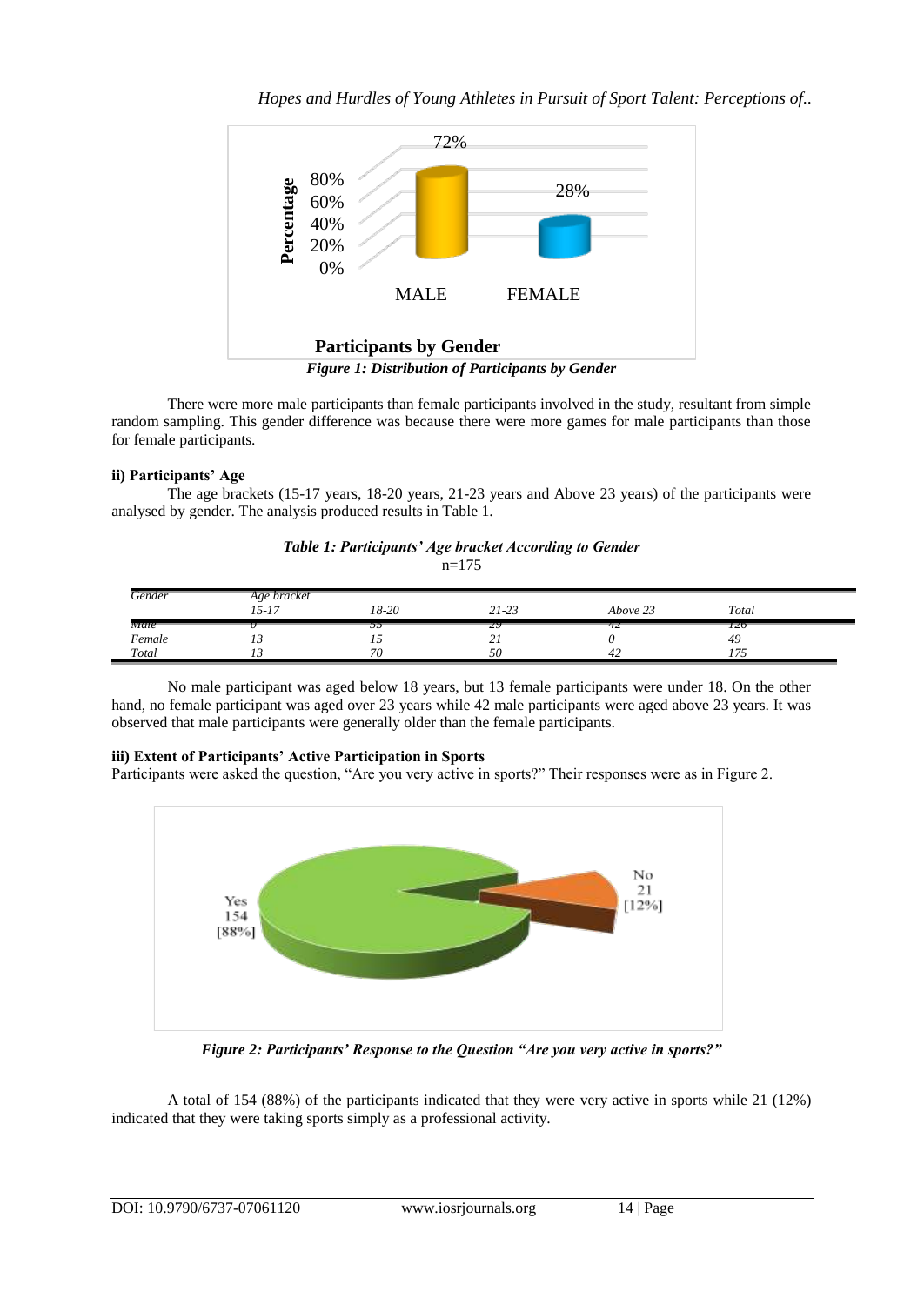*Hopes and Hurdles of Young Athletes in Pursuit of Sport Talent: Perceptions of..*



There were more male participants than female participants involved in the study, resultant from simple random sampling. This gender difference was because there were more games for male participants than those for female participants.

#### **ii) Participants' Age**

The age brackets (15-17 years, 18-20 years, 21-23 years and Above 23 years) of the participants were analysed by gender. The analysis produced results in Table 1.

#### *Table 1: Participants' Age bracket According to Gender*  $n=175$

| Gender | Age bracket                                      |       |                       |                    |       |  |
|--------|--------------------------------------------------|-------|-----------------------|--------------------|-------|--|
|        | $\tau \in \mathcal{L}$<br>$\overline{1}$<br>19-1 | 18-20 | $21 - 23$             | $\sim$<br>Above 23 | Total |  |
| Male   |                                                  | -     | 29                    | 42                 | 120   |  |
| Female | . J                                              | "     | $\sim$ :<br><u> 4</u> |                    | 49    |  |
| Total  |                                                  | 70    | 50                    | 44                 | $- -$ |  |

No male participant was aged below 18 years, but 13 female participants were under 18. On the other hand, no female participant was aged over 23 years while 42 male participants were aged above 23 years. It was observed that male participants were generally older than the female participants.

## **iii) Extent of Participants' Active Participation in Sports**

Participants were asked the question, "Are you very active in sports?" Their responses were as in Figure 2.



*Figure 2: Participants' Response to the Question "Are you very active in sports?"*

A total of 154 (88%) of the participants indicated that they were very active in sports while 21 (12%) indicated that they were taking sports simply as a professional activity.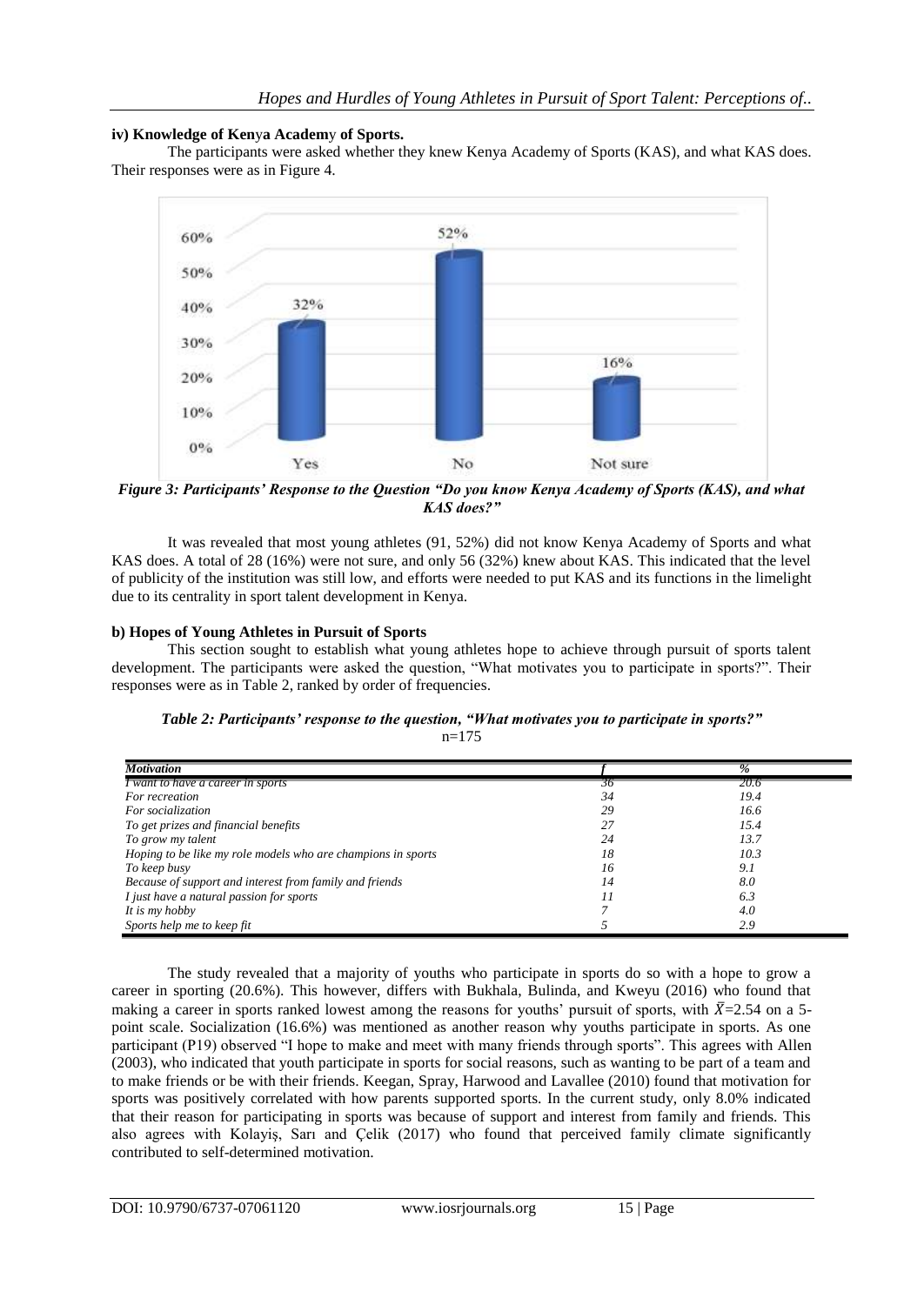## **iv) Knowledge of Ken**y**a Academ**y **of Sports.**

The participants were asked whether they knew Kenya Academy of Sports (KAS), and what KAS does. Their responses were as in Figure 4.



*Figure 3: Participants' Response to the Question "Do you know Kenya Academy of Sports (KAS), and what KAS does?"*

It was revealed that most young athletes (91, 52%) did not know Kenya Academy of Sports and what KAS does. A total of 28 (16%) were not sure, and only 56 (32%) knew about KAS. This indicated that the level of publicity of the institution was still low, and efforts were needed to put KAS and its functions in the limelight due to its centrality in sport talent development in Kenya.

#### **b) Hopes of Young Athletes in Pursuit of Sports**

This section sought to establish what young athletes hope to achieve through pursuit of sports talent development. The participants were asked the question, "What motivates you to participate in sports?". Their responses were as in Table 2, ranked by order of frequencies.

| Table 2: Participants' response to the question, "What motivates you to participate in sports?" |  |  |
|-------------------------------------------------------------------------------------------------|--|--|
| $n=175$                                                                                         |  |  |

| <b>Motivation</b>                                            |    | $\frac{p}{q}$ |
|--------------------------------------------------------------|----|---------------|
| I want to have a career in sports                            | 30 | 20.6          |
| For recreation                                               | 34 | 19.4          |
| For socialization                                            | 29 | 16.6          |
| To get prizes and financial benefits                         | 27 | 15.4          |
| To grow my talent                                            | 24 | 13.7          |
| Hoping to be like my role models who are champions in sports | 18 | 10.3          |
| To keep busy                                                 | 16 | 9.1           |
| Because of support and interest from family and friends      | 14 | 8.0           |
| I just have a natural passion for sports                     |    | 6.3           |
| It is my hobby                                               |    | 4.0           |
| Sports help me to keep fit                                   |    | 2.9           |

The study revealed that a majority of youths who participate in sports do so with a hope to grow a career in sporting (20.6%). This however, differs with Bukhala, Bulinda, and Kweyu (2016) who found that making a career in sports ranked lowest among the reasons for youths' pursuit of sports, with  $\bar{X}$ =2.54 on a 5point scale. Socialization (16.6%) was mentioned as another reason why youths participate in sports. As one participant (P19) observed "I hope to make and meet with many friends through sports". This agrees with Allen (2003), who indicated that youth participate in sports for social reasons, such as wanting to be part of a team and to make friends or be with their friends. Keegan, Spray, Harwood and Lavallee (2010) found that motivation for sports was positively correlated with how parents supported sports. In the current study, only 8.0% indicated that their reason for participating in sports was because of support and interest from family and friends. This also agrees with Kolayiş, Sarı and Çelik (2017) who found that perceived family climate significantly contributed to self-determined motivation.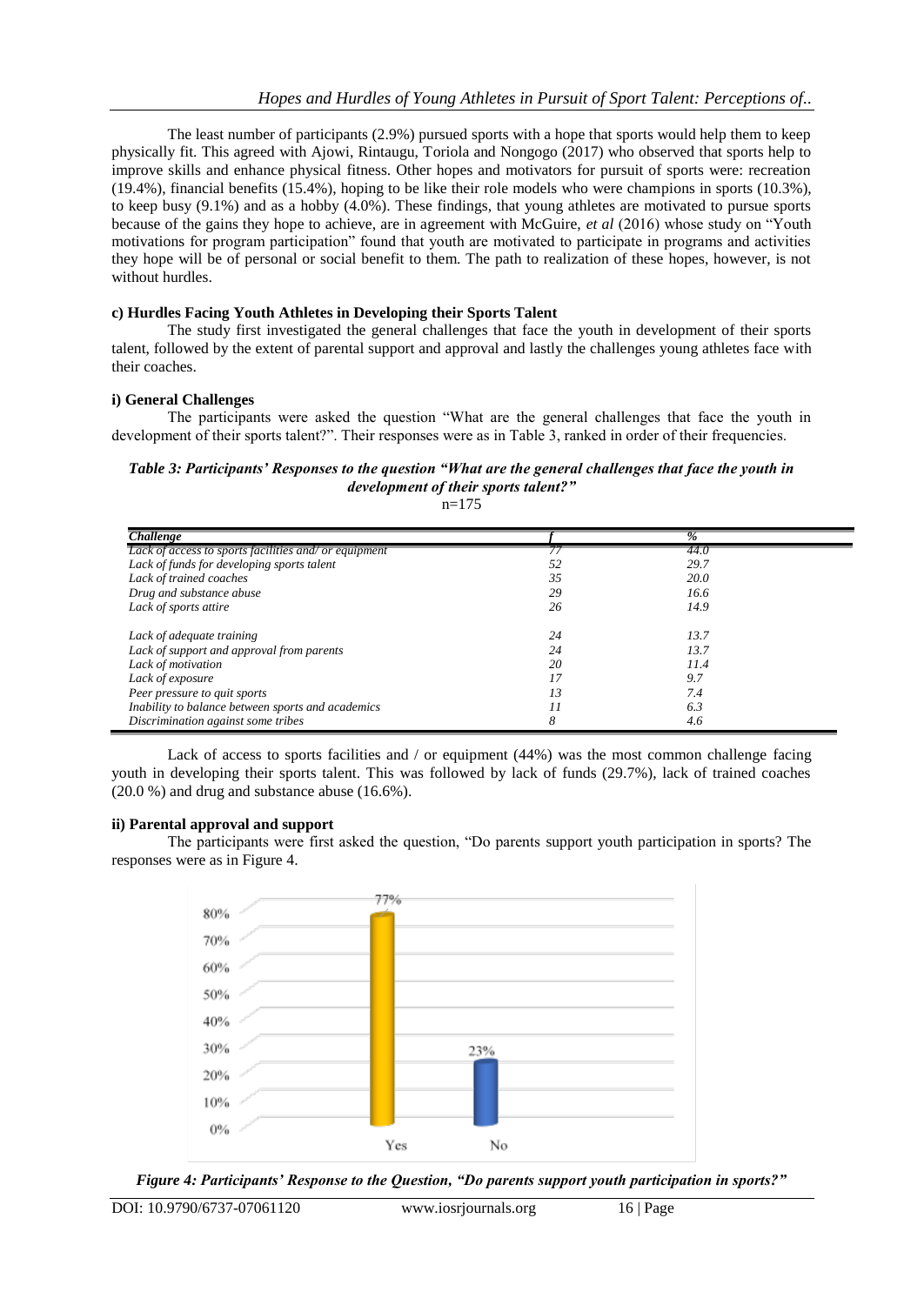The least number of participants (2.9%) pursued sports with a hope that sports would help them to keep physically fit. This agreed with Ajowi, Rintaugu, Toriola and Nongogo (2017) who observed that sports help to improve skills and enhance physical fitness. Other hopes and motivators for pursuit of sports were: recreation (19.4%), financial benefits (15.4%), hoping to be like their role models who were champions in sports (10.3%), to keep busy (9.1%) and as a hobby (4.0%). These findings, that young athletes are motivated to pursue sports because of the gains they hope to achieve, are in agreement with McGuire, *et al* (2016) whose study on "Youth motivations for program participation" found that youth are motivated to participate in programs and activities they hope will be of personal or social benefit to them. The path to realization of these hopes, however, is not without hurdles.

## **c) Hurdles Facing Youth Athletes in Developing their Sports Talent**

The study first investigated the general challenges that face the youth in development of their sports talent, followed by the extent of parental support and approval and lastly the challenges young athletes face with their coaches.

#### **i) General Challenges**

The participants were asked the question "What are the general challenges that face the youth in development of their sports talent?". Their responses were as in Table 3, ranked in order of their frequencies.

#### *Table 3: Participants' Responses to the question "What are the general challenges that face the youth in development of their sports talent?"*

 $n=175$ 

| <b>Challenge</b>                                      |    | $\%$ |  |
|-------------------------------------------------------|----|------|--|
| Lack of access to sports facilities and/ or equipment |    | 44.0 |  |
| Lack of funds for developing sports talent            | 52 | 29.7 |  |
| Lack of trained coaches                               | 35 | 20.0 |  |
| Drug and substance abuse                              | 29 | 16.6 |  |
| Lack of sports attire                                 | 26 | 14.9 |  |
| Lack of adequate training                             | 24 | 13.7 |  |
| Lack of support and approval from parents             | 24 | 13.7 |  |
| Lack of motivation                                    | 20 | 11.4 |  |
| Lack of exposure                                      | 17 | 9.7  |  |
| Peer pressure to quit sports                          | 13 | 7.4  |  |
| Inability to balance between sports and academics     | 11 | 6.3  |  |
| Discrimination against some tribes                    | 8  | 4.6  |  |

Lack of access to sports facilities and / or equipment (44%) was the most common challenge facing youth in developing their sports talent. This was followed by lack of funds (29.7%), lack of trained coaches (20.0 %) and drug and substance abuse (16.6%).

#### **ii) Parental approval and support**

The participants were first asked the question, "Do parents support youth participation in sports? The responses were as in Figure 4.



*Figure 4: Participants' Response to the Question, "Do parents support youth participation in sports?"*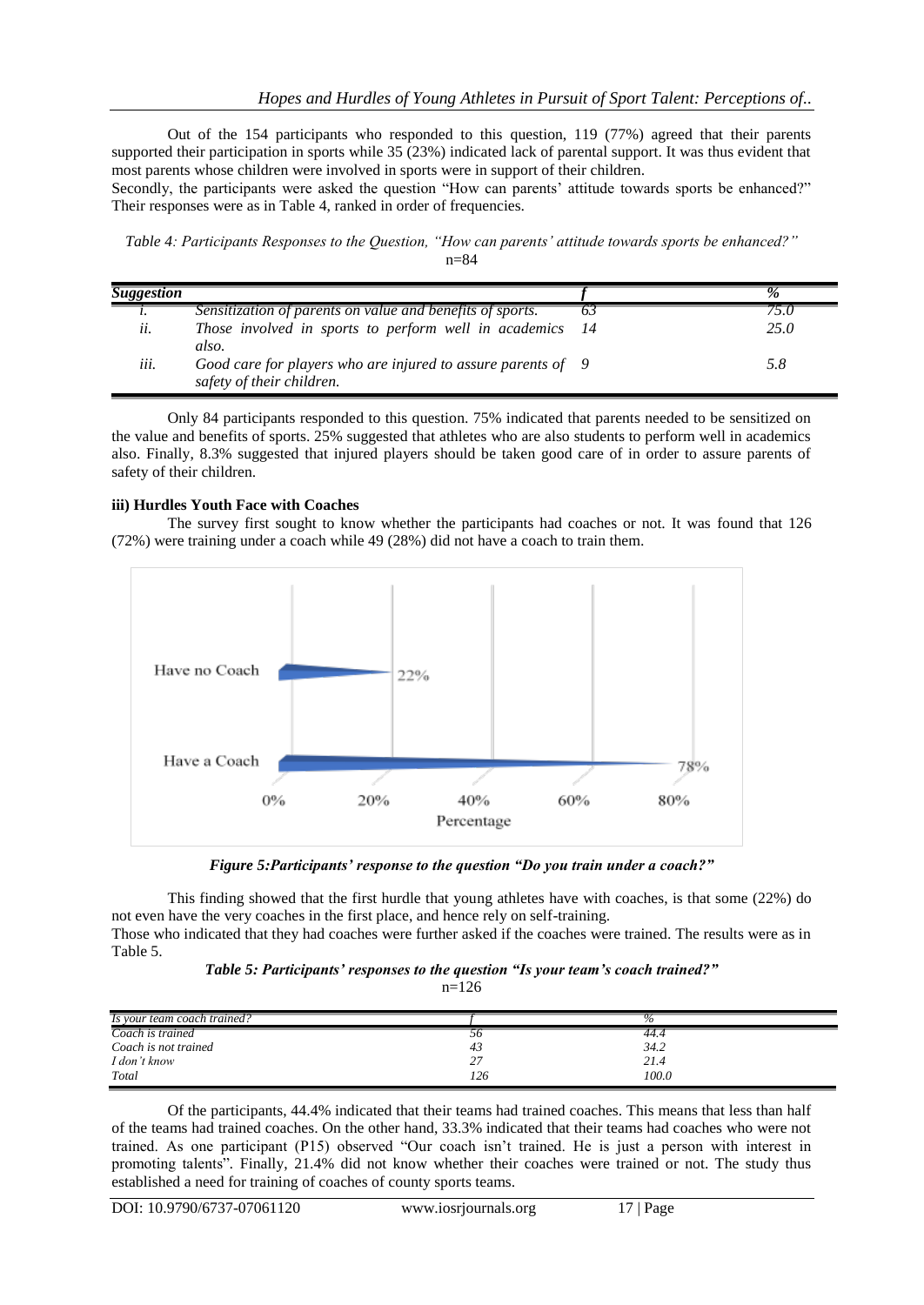Out of the 154 participants who responded to this question, 119 (77%) agreed that their parents supported their participation in sports while 35 (23%) indicated lack of parental support. It was thus evident that most parents whose children were involved in sports were in support of their children.

Secondly, the participants were asked the question "How can parents' attitude towards sports be enhanced?" Their responses were as in Table 4, ranked in order of frequencies.

*Table 4: Participants Responses to the Question, "How can parents' attitude towards sports be enhanced?"* n=84

| <b>Suggestion</b> |                                                                                           |      | $\%$ |
|-------------------|-------------------------------------------------------------------------------------------|------|------|
| $\iota$ .         | Sensitization of parents on value and benefits of sports.                                 |      |      |
| ii.               | Those involved in sports to perform well in academics<br>also.                            | - 14 | 25.0 |
| iii.              | Good care for players who are injured to assure parents of 9<br>safety of their children. |      | 5.8  |

Only 84 participants responded to this question. 75% indicated that parents needed to be sensitized on the value and benefits of sports. 25% suggested that athletes who are also students to perform well in academics also. Finally, 8.3% suggested that injured players should be taken good care of in order to assure parents of safety of their children.

#### **iii) Hurdles Youth Face with Coaches**

The survey first sought to know whether the participants had coaches or not. It was found that 126 (72%) were training under a coach while 49 (28%) did not have a coach to train them.



*Figure 5:Participants' response to the question "Do you train under a coach?"*

This finding showed that the first hurdle that young athletes have with coaches, is that some (22%) do not even have the very coaches in the first place, and hence rely on self-training. Those who indicated that they had coaches were further asked if the coaches were trained. The results were as in

Table 5.

| Table 5: Participants' responses to the question "Is your team's coach trained?" |  |  |  |  |
|----------------------------------------------------------------------------------|--|--|--|--|
|----------------------------------------------------------------------------------|--|--|--|--|

 $n=126$ 

| Is your team coach trained? |                | 70    |  |
|-----------------------------|----------------|-------|--|
| Coach is trained            | $\mathfrak{d}$ | 44.4  |  |
| Coach is not trained        | 43             | 34.2  |  |
| I don't know                | ، ،            | 21.4  |  |
| Total                       | 126            | 100.0 |  |

Of the participants, 44.4% indicated that their teams had trained coaches. This means that less than half of the teams had trained coaches. On the other hand, 33.3% indicated that their teams had coaches who were not trained. As one participant (P15) observed "Our coach isn"t trained. He is just a person with interest in promoting talents"*.* Finally, 21.4% did not know whether their coaches were trained or not. The study thus established a need for training of coaches of county sports teams.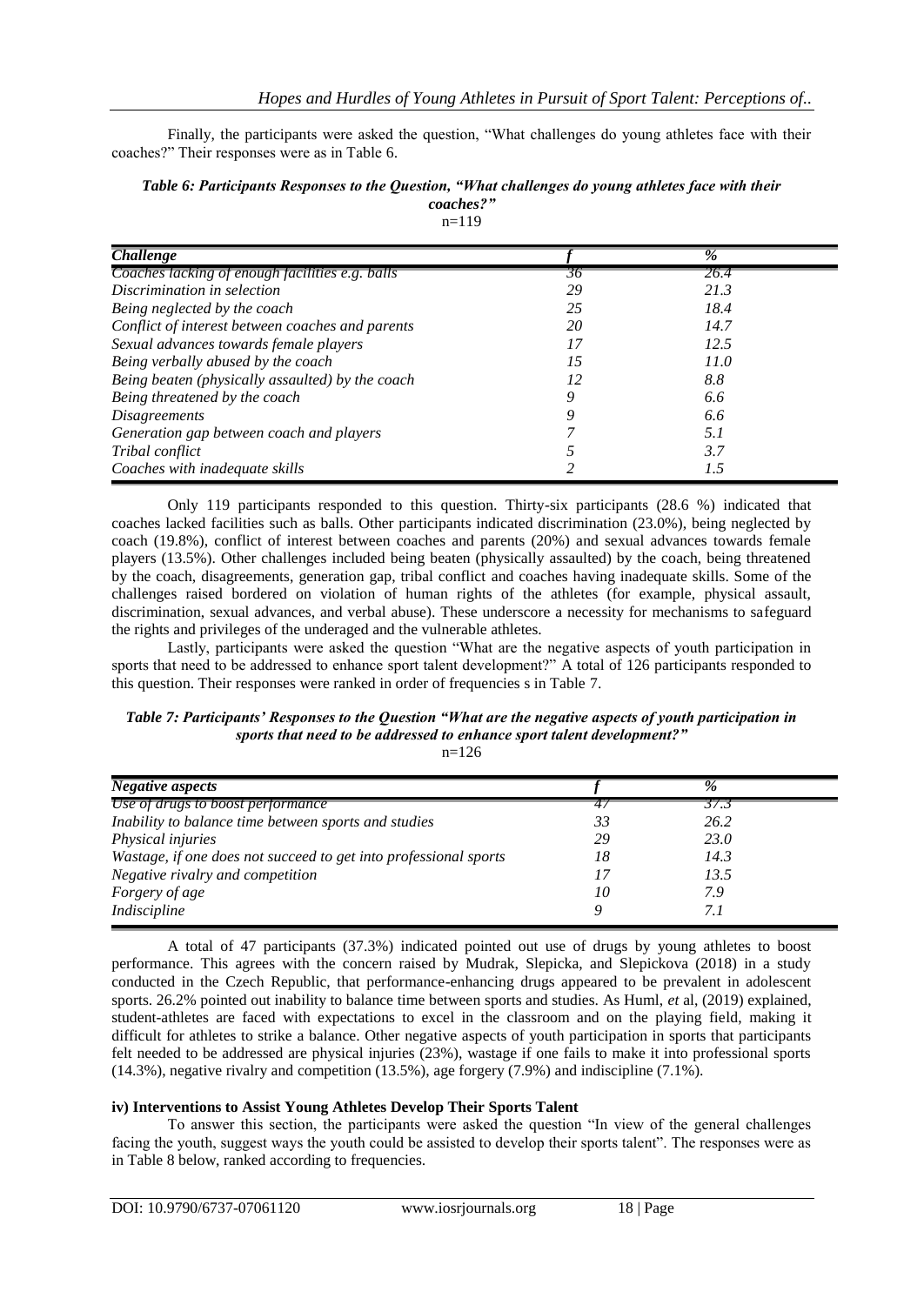Finally, the participants were asked the question, "What challenges do young athletes face with their coaches?" Their responses were as in Table 6.

| Table 6: Participants Responses to the Question, "What challenges do young athletes face with their |
|-----------------------------------------------------------------------------------------------------|
| coaches?"                                                                                           |

 $n=119$ 

| <b>Challenge</b>                                 |    | $\frac{0}{6}$ |  |
|--------------------------------------------------|----|---------------|--|
| Coaches lacking of enough facilities e.g. balls  | 30 | 26.4          |  |
| Discrimination in selection                      | 29 | 21.3          |  |
| Being neglected by the coach                     | 25 | 18.4          |  |
| Conflict of interest between coaches and parents | 20 | 14.7          |  |
| Sexual advances towards female players           | 17 | 12.5          |  |
| Being verbally abused by the coach               | 15 | 11.0          |  |
| Being beaten (physically assaulted) by the coach | 12 | 8.8           |  |
| Being threatened by the coach                    | 0  | 6.6           |  |
| <b>Disagreements</b>                             | 9  | 6.6           |  |
| Generation gap between coach and players         |    | 5. I          |  |
| Tribal conflict                                  |    | 3.7           |  |
| Coaches with inadequate skills                   |    | 1.5           |  |

Only 119 participants responded to this question. Thirty-six participants (28.6 %) indicated that coaches lacked facilities such as balls. Other participants indicated discrimination (23.0%), being neglected by coach (19.8%), conflict of interest between coaches and parents (20%) and sexual advances towards female players (13.5%). Other challenges included being beaten (physically assaulted) by the coach, being threatened by the coach, disagreements, generation gap, tribal conflict and coaches having inadequate skills. Some of the challenges raised bordered on violation of human rights of the athletes (for example, physical assault, discrimination, sexual advances, and verbal abuse). These underscore a necessity for mechanisms to safeguard the rights and privileges of the underaged and the vulnerable athletes.

Lastly, participants were asked the question "What are the negative aspects of youth participation in sports that need to be addressed to enhance sport talent development?" A total of 126 participants responded to this question. Their responses were ranked in order of frequencies s in Table 7.

# *Table 7: Participants' Responses to the Question "What are the negative aspects of youth participation in sports that need to be addressed to enhance sport talent development?"*

 $n=126$ 

| <b>Negative aspects</b>                                          |    | $\%$ |  |
|------------------------------------------------------------------|----|------|--|
| Use of drugs to boost performance                                | 47 | 57.1 |  |
| Inability to balance time between sports and studies             | 33 | 26.2 |  |
| Physical injuries                                                | 29 | 23.0 |  |
| Wastage, if one does not succeed to get into professional sports | 18 | 14.3 |  |
| Negative rivalry and competition                                 | 17 | 13.5 |  |
| Forgery of age                                                   | 10 | 7.9  |  |
| Indiscipline                                                     | Q  | 7. 1 |  |

A total of 47 participants (37.3%) indicated pointed out use of drugs by young athletes to boost performance. This agrees with the concern raised by Mudrak, Slepicka, and Slepickova (2018) in a study conducted in the Czech Republic, that performance-enhancing drugs appeared to be prevalent in adolescent sports. 26.2% pointed out inability to balance time between sports and studies. As Huml, *et* al, (2019) explained, student-athletes are faced with expectations to excel in the classroom and on the playing field, making it difficult for athletes to strike a balance. Other negative aspects of youth participation in sports that participants felt needed to be addressed are physical injuries (23%), wastage if one fails to make it into professional sports (14.3%), negative rivalry and competition (13.5%), age forgery (7.9%) and indiscipline (7.1%).

## **iv) Interventions to Assist Young Athletes Develop Their Sports Talent**

To answer this section, the participants were asked the question "In view of the general challenges facing the youth, suggest ways the youth could be assisted to develop their sports talent". The responses were as in Table 8 below, ranked according to frequencies.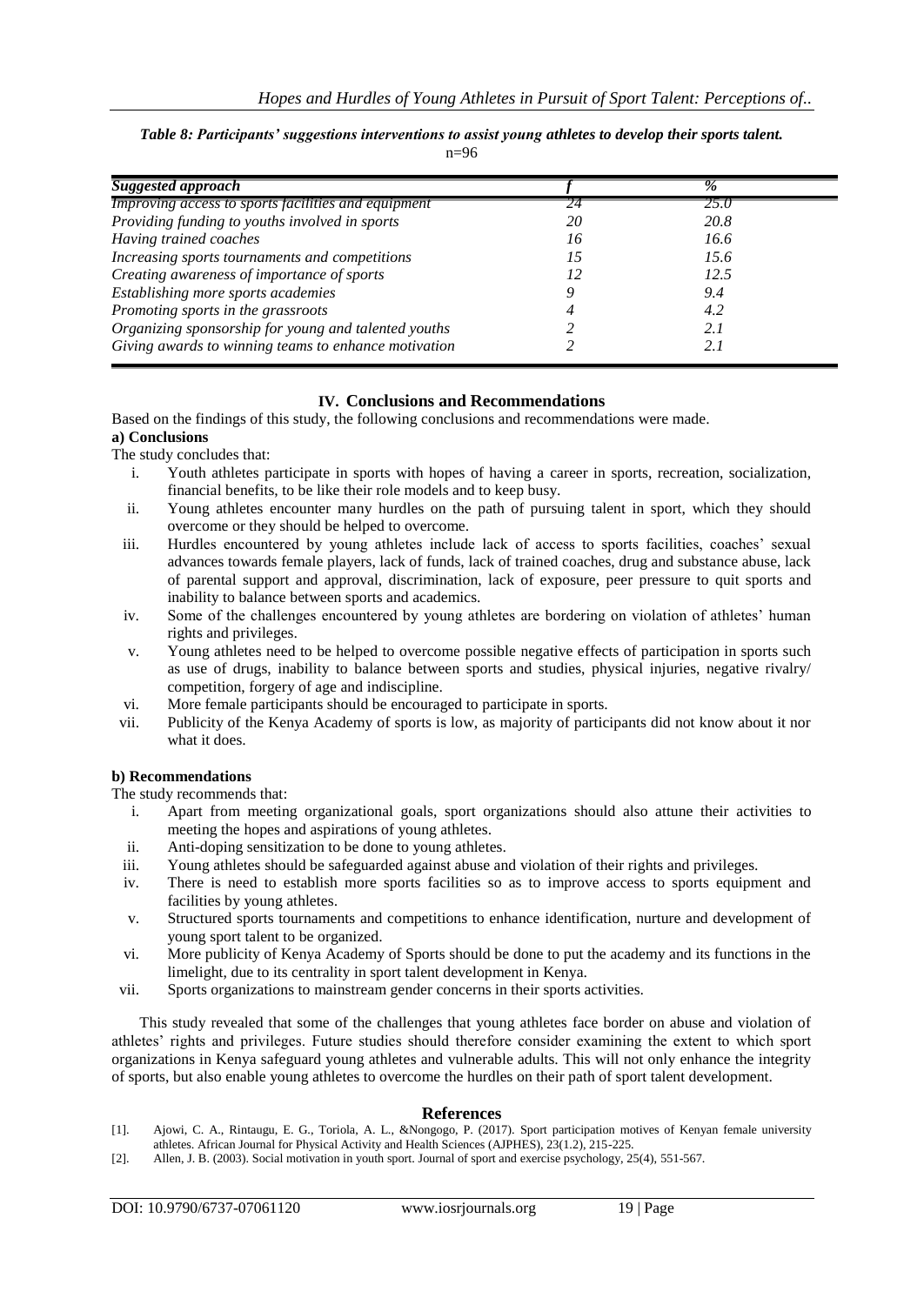#### *Table 8: Participants' suggestions interventions to assist young athletes to develop their sports talent.*

 $n=96$ 

| <b>Suggested approach</b>                            |    | $\%$ |
|------------------------------------------------------|----|------|
| Improving access to sports facilities and equipment  |    | 25.0 |
| Providing funding to youths involved in sports       | 20 | 20.8 |
| Having trained coaches                               | 16 | 16.6 |
| Increasing sports tournaments and competitions       | 15 | 15.6 |
| Creating awareness of importance of sports           |    | 12.5 |
| Establishing more sports academies                   |    | 9.4  |
| Promoting sports in the grassroots                   |    | 4.2  |
| Organizing sponsorship for young and talented youths |    | 2.1  |
| Giving awards to winning teams to enhance motivation |    | 2.1  |

# **IV. Conclusions and Recommendations**

Based on the findings of this study, the following conclusions and recommendations were made.

#### **a) Conclusions** The study concludes that:

- i. Youth athletes participate in sports with hopes of having a career in sports, recreation, socialization, financial benefits, to be like their role models and to keep busy.
- ii. Young athletes encounter many hurdles on the path of pursuing talent in sport, which they should overcome or they should be helped to overcome.
- iii. Hurdles encountered by young athletes include lack of access to sports facilities, coaches" sexual advances towards female players, lack of funds, lack of trained coaches, drug and substance abuse, lack of parental support and approval, discrimination, lack of exposure, peer pressure to quit sports and inability to balance between sports and academics.
- iv. Some of the challenges encountered by young athletes are bordering on violation of athletes' human rights and privileges.
- v. Young athletes need to be helped to overcome possible negative effects of participation in sports such as use of drugs, inability to balance between sports and studies, physical injuries, negative rivalry/ competition, forgery of age and indiscipline.
- vi. More female participants should be encouraged to participate in sports.
- vii. Publicity of the Kenya Academy of sports is low, as majority of participants did not know about it nor what it does.

## **b) Recommendations**

The study recommends that:

- i. Apart from meeting organizational goals, sport organizations should also attune their activities to meeting the hopes and aspirations of young athletes.
- ii. Anti-doping sensitization to be done to young athletes.
- iii. Young athletes should be safeguarded against abuse and violation of their rights and privileges.
- iv. There is need to establish more sports facilities so as to improve access to sports equipment and facilities by young athletes.
- v. Structured sports tournaments and competitions to enhance identification, nurture and development of young sport talent to be organized.
- vi. More publicity of Kenya Academy of Sports should be done to put the academy and its functions in the limelight, due to its centrality in sport talent development in Kenya.
- vii. Sports organizations to mainstream gender concerns in their sports activities.

This study revealed that some of the challenges that young athletes face border on abuse and violation of athletes' rights and privileges. Future studies should therefore consider examining the extent to which sport organizations in Kenya safeguard young athletes and vulnerable adults. This will not only enhance the integrity of sports, but also enable young athletes to overcome the hurdles on their path of sport talent development.

#### **References**

- [1]. Ajowi, C. A., Rintaugu, E. G., Toriola, A. L., &Nongogo, P. (2017). Sport participation motives of Kenyan female university athletes. African Journal for Physical Activity and Health Sciences (AJPHES), 23(1.2), 215-225.
- [2]. Allen, J. B. (2003). Social motivation in youth sport. Journal of sport and exercise psychology, 25(4), 551-567.